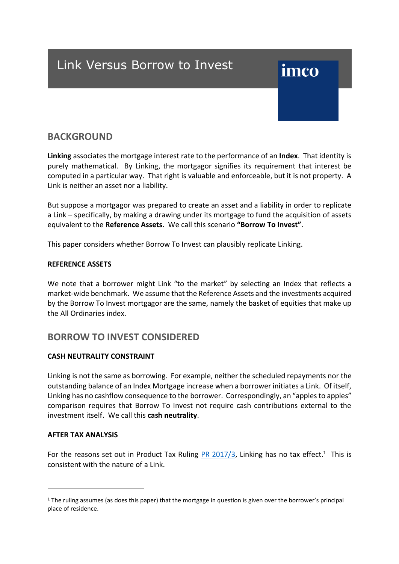## Link Versus Borrow to Invest

# imco

### **BACKGROUND**

**Linking** associates the mortgage interest rate to the performance of an **Index**. That identity is purely mathematical. By Linking, the mortgagor signifies its requirement that interest be computed in a particular way. That right is valuable and enforceable, but it is not property. A Link is neither an asset nor a liability.

But suppose a mortgagor was prepared to create an asset and a liability in order to replicate a Link – specifically, by making a drawing under its mortgage to fund the acquisition of assets equivalent to the **Reference Assets**. We call this scenario **"Borrow To Invest"**.

This paper considers whether Borrow To Invest can plausibly replicate Linking.

#### **REFERENCE ASSETS**

We note that a borrower might Link "to the market" by selecting an Index that reflects a market-wide benchmark. We assume that the Reference Assets and the investments acquired by the Borrow To Invest mortgagor are the same, namely the basket of equities that make up the All Ordinaries index.

### **BORROW TO INVEST CONSIDERED**

#### **CASH NEUTRALITY CONSTRAINT**

Linking is not the same as borrowing. For example, neither the scheduled repayments nor the outstanding balance of an Index Mortgage increase when a borrower initiates a Link. Of itself, Linking has no cashflow consequence to the borrower. Correspondingly, an "apples to apples" comparison requires that Borrow To Invest not require cash contributions external to the investment itself. We call this **cash neutrality**.

#### **AFTER TAX ANALYSIS**

 $\overline{a}$ 

For the reasons set out in Product Tax Ruling **PR 2017/3**, Linking has no tax effect.<sup>1</sup> This is consistent with the nature of a Link.

<sup>1</sup> The ruling assumes (as does this paper) that the mortgage in question is given over the borrower's principal place of residence.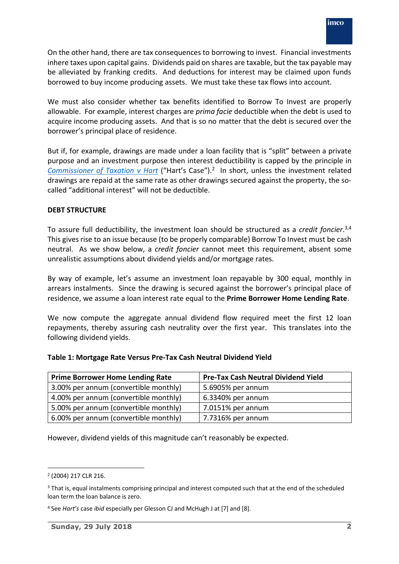On the other hand, there are tax consequences to borrowing to invest. Financial investments inhere taxes upon capital gains. Dividends paid on shares are taxable, but the tax payable may be alleviated by franking credits. And deductions for interest may be claimed upon funds borrowed to buy income producing assets. We must take these tax flows into account.

We must also consider whether tax benefits identified to Borrow To Invest are properly allowable. For example, interest charges are *prima facie* deductible when the debt is used to acquire income producing assets. And that is so no matter that the debt is secured over the borrower's principal place of residence.

But if, for example, drawings are made under a loan facility that is "split" between a private purpose and an investment purpose then interest deductibility is capped by the principle in *[Commissioner of Taxation v Hart](http://www.australia.index.mortgage/wp-content/uploads/2018/03/FCTHart.pdf)* ("Hart's Case").2 In short, unless the investment related drawings are repaid at the same rate as other drawings secured against the property, the socalled "additional interest" will not be deductible.

#### **DEBT STRUCTURE**

To assure full deductibility, the investment loan should be structured as a *credit foncier*. 3,4 This gives rise to an issue because (to be properly comparable) Borrow To Invest must be cash neutral. As we show below, a *credit foncier* cannot meet this requirement, absent some unrealistic assumptions about dividend yields and/or mortgage rates.

By way of example, let's assume an investment loan repayable by 300 equal, monthly in arrears instalments. Since the drawing is secured against the borrower's principal place of residence, we assume a loan interest rate equal to the **Prime Borrower Home Lending Rate**.

We now compute the aggregate annual dividend flow required meet the first 12 loan repayments, thereby assuring cash neutrality over the first year. This translates into the following dividend yields.

|  | Table 1: Mortgage Rate Versus Pre-Tax Cash Neutral Dividend Yield |  |
|--|-------------------------------------------------------------------|--|
|--|-------------------------------------------------------------------|--|

| <b>Prime Borrower Home Lending Rate</b> | <b>Pre-Tax Cash Neutral Dividend Yield</b> |
|-----------------------------------------|--------------------------------------------|
| 3.00% per annum (convertible monthly)   | 5.6905% per annum                          |
| 4.00% per annum (convertible monthly)   | 6.3340% per annum                          |
| 5.00% per annum (convertible monthly)   | 7.0151% per annum                          |
| 6.00% per annum (convertible monthly)   | 7.7316% per annum                          |

However, dividend yields of this magnitude can't reasonably be expected.

 <sup>2</sup> (2004) 217 CLR 216.

<sup>&</sup>lt;sup>3</sup> That is, equal instalments comprising principal and interest computed such that at the end of the scheduled loan term the loan balance is zero.

<sup>4</sup> See *Hart's* case *ibid* especially per Glesson CJ and McHugh J at [7] and [8].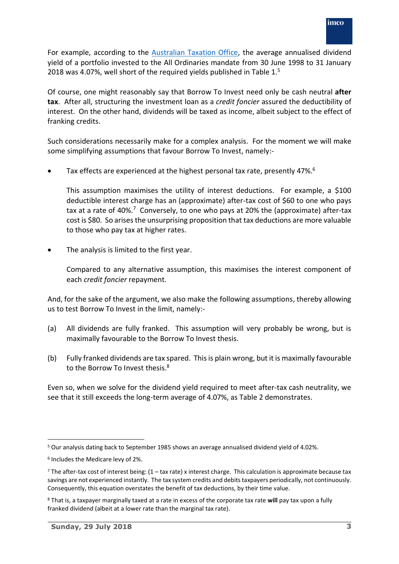For example, according to the [Australian Taxation Office,](http://www.ato.gov.au/Rates/Company-tax---imputation--average-franking-credit---rebate-yields/) the average annualised dividend yield of a portfolio invested to the All Ordinaries mandate from 30 June 1998 to 31 January 2018 was 4.07%, well short of the required yields published in Table  $1.5$ 

Of course, one might reasonably say that Borrow To Invest need only be cash neutral **after tax**. After all, structuring the investment loan as a *credit foncier* assured the deductibility of interest. On the other hand, dividends will be taxed as income, albeit subject to the effect of franking credits.

Such considerations necessarily make for a complex analysis. For the moment we will make some simplifying assumptions that favour Borrow To Invest, namely:-

• Tax effects are experienced at the highest personal tax rate, presently 47%.<sup>6</sup>

This assumption maximises the utility of interest deductions. For example, a \$100 deductible interest charge has an (approximate) after-tax cost of \$60 to one who pays tax at a rate of 40%.<sup>7</sup> Conversely, to one who pays at 20% the (approximate) after-tax cost is \$80. So arises the unsurprising proposition that tax deductions are more valuable to those who pay tax at higher rates.

The analysis is limited to the first year.

Compared to any alternative assumption, this maximises the interest component of each *credit foncier* repayment.

And, for the sake of the argument, we also make the following assumptions, thereby allowing us to test Borrow To Invest in the limit, namely:-

- (a) All dividends are fully franked. This assumption will very probably be wrong, but is maximally favourable to the Borrow To Invest thesis.
- (b) Fully franked dividends are tax spared. Thisis plain wrong, but it is maximally favourable to the Borrow To Invest thesis.<sup>8</sup>

Even so, when we solve for the dividend yield required to meet after-tax cash neutrality, we see that it still exceeds the long-term average of 4.07%, as Table 2 demonstrates.

 <sup>5</sup> Our analysis dating back to September 1985 shows an average annualised dividend yield of 4.02%.

<sup>6</sup> Includes the Medicare levy of 2%.

 $7$  The after-tax cost of interest being:  $(1 - \tan x)$  rate) x interest charge. This calculation is approximate because tax savings are not experienced instantly. The tax system credits and debits taxpayers periodically, not continuously. Consequently, this equation overstates the benefit of tax deductions, by their time value.

<sup>8</sup> That is, a taxpayer marginally taxed at a rate in excess of the corporate tax rate **will** pay tax upon a fully franked dividend (albeit at a lower rate than the marginal tax rate).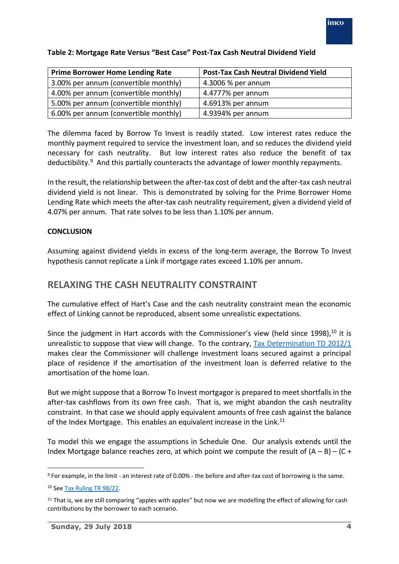| <b>Prime Borrower Home Lending Rate</b> | <b>Post-Tax Cash Neutral Dividend Yield</b> |  |  |  |  |  |
|-----------------------------------------|---------------------------------------------|--|--|--|--|--|
| 3.00% per annum (convertible monthly)   | 4.3006 % per annum                          |  |  |  |  |  |
| 4.00% per annum (convertible monthly)   | 4.4777% per annum                           |  |  |  |  |  |
| 5.00% per annum (convertible monthly)   | 4.6913% per annum                           |  |  |  |  |  |
| 6.00% per annum (convertible monthly)   | 4.9394% per annum                           |  |  |  |  |  |

#### **Table 2: Mortgage Rate Versus "Best Case" Post-Tax Cash Neutral Dividend Yield**

The dilemma faced by Borrow To Invest is readily stated. Low interest rates reduce the monthly payment required to service the investment loan, and so reduces the dividend yield necessary for cash neutrality. But low interest rates also reduce the benefit of tax deductibility. $9$  And this partially counteracts the advantage of lower monthly repayments.

In the result, the relationship between the after-tax cost of debt and the after-tax cash neutral dividend yield is not linear. This is demonstrated by solving for the Prime Borrower Home Lending Rate which meets the after-tax cash neutrality requirement, given a dividend yield of 4.07% per annum. That rate solves to be less than 1.10% per annum.

#### **CONCLUSION**

Assuming against dividend yields in excess of the long-term average, the Borrow To Invest hypothesis cannot replicate a Link if mortgage rates exceed 1.10% per annum.

## **RELAXING THE CASH NEUTRALITY CONSTRAINT**

The cumulative effect of Hart's Case and the cash neutrality constraint mean the economic effect of Linking cannot be reproduced, absent some unrealistic expectations.

Since the judgment in Hart accords with the Commissioner's view (held since 1998),<sup>10</sup> it is unrealistic to suppose that view will change. To the contrary, [Tax Determination TD 2012/1](http://www.australia.index.mortgage/wp-content/uploads/2018/03/TD2012-001.pdf) makes clear the Commissioner will challenge investment loans secured against a principal place of residence if the amortisation of the investment loan is deferred relative to the amortisation of the home loan.

But we might suppose that a Borrow To Invest mortgagor is prepared to meet shortfalls in the after-tax cashflows from its own free cash. That is, we might abandon the cash neutrality constraint. In that case we should apply equivalent amounts of free cash against the balance of the Index Mortgage. This enables an equivalent increase in the Link.<sup>11</sup>

To model this we engage the assumptions in Schedule One. Our analysis extends until the Index Mortgage balance reaches zero, at which point we compute the result of  $(A - B) - (C +$ 

 <sup>9</sup> For example, in the limit - an interest rate of 0.00% - the before and after-tax cost of borrowing is the same.

<sup>10</sup> Se[e Tax Ruling TR 98/22.](http://www.australia.index.mortgage/wp-content/uploads/2018/03/TR1998-022.pdf)

 $11$  That is, we are still comparing "apples with apples" but now we are modelling the effect of allowing for cash contributions by the borrower to each scenario.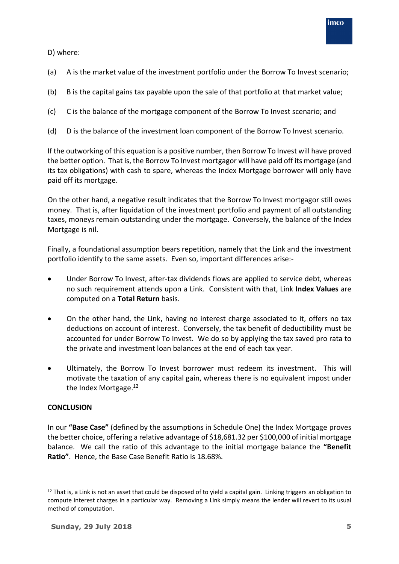

D) where:

- (a) A is the market value of the investment portfolio under the Borrow To Invest scenario;
- (b) B is the capital gains tax payable upon the sale of that portfolio at that market value;
- (c) C is the balance of the mortgage component of the Borrow To Invest scenario; and
- (d) D is the balance of the investment loan component of the Borrow To Invest scenario.

If the outworking of this equation is a positive number, then Borrow To Invest will have proved the better option. That is, the Borrow To Invest mortgagor will have paid off its mortgage (and its tax obligations) with cash to spare, whereas the Index Mortgage borrower will only have paid off its mortgage.

On the other hand, a negative result indicates that the Borrow To Invest mortgagor still owes money. That is, after liquidation of the investment portfolio and payment of all outstanding taxes, moneys remain outstanding under the mortgage. Conversely, the balance of the Index Mortgage is nil.

Finally, a foundational assumption bears repetition, namely that the Link and the investment portfolio identify to the same assets. Even so, important differences arise:-

- Under Borrow To Invest, after-tax dividends flows are applied to service debt, whereas no such requirement attends upon a Link. Consistent with that, Link **Index Values** are computed on a **Total Return** basis.
- On the other hand, the Link, having no interest charge associated to it, offers no tax deductions on account of interest. Conversely, the tax benefit of deductibility must be accounted for under Borrow To Invest. We do so by applying the tax saved pro rata to the private and investment loan balances at the end of each tax year.
- Ultimately, the Borrow To Invest borrower must redeem its investment. This will motivate the taxation of any capital gain, whereas there is no equivalent impost under the Index Mortgage.<sup>12</sup>

#### **CONCLUSION**

In our **"Base Case"** (defined by the assumptions in Schedule One) the Index Mortgage proves the better choice, offering a relative advantage of \$18,681.32 per \$100,000 of initial mortgage balance. We call the ratio of this advantage to the initial mortgage balance the **"Benefit Ratio"**. Hence, the Base Case Benefit Ratio is 18.68%.

 $12$  That is, a Link is not an asset that could be disposed of to yield a capital gain. Linking triggers an obligation to compute interest charges in a particular way. Removing a Link simply means the lender will revert to its usual method of computation.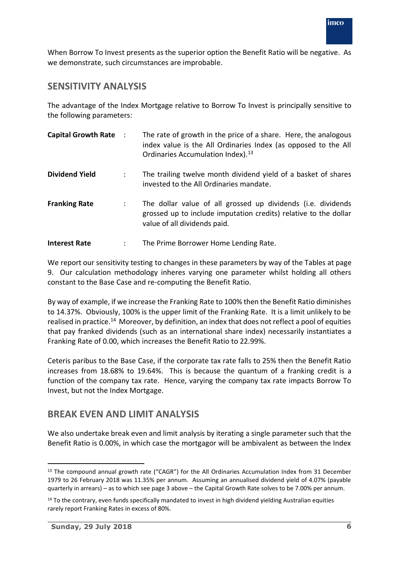When Borrow To Invest presents as the superior option the Benefit Ratio will be negative. As we demonstrate, such circumstances are improbable.

## **SENSITIVITY ANALYSIS**

The advantage of the Index Mortgage relative to Borrow To Invest is principally sensitive to the following parameters:

| <b>Capital Growth Rate :</b> | The rate of growth in the price of a share. Here, the analogous<br>index value is the All Ordinaries Index (as opposed to the All<br>Ordinaries Accumulation Index). <sup>13</sup> |
|------------------------------|------------------------------------------------------------------------------------------------------------------------------------------------------------------------------------|
| <b>Dividend Yield</b>        | The trailing twelve month dividend yield of a basket of shares<br>invested to the All Ordinaries mandate.                                                                          |
| <b>Franking Rate</b>         | The dollar value of all grossed up dividends (i.e. dividends<br>grossed up to include imputation credits) relative to the dollar<br>value of all dividends paid.                   |
| <b>Interest Rate</b>         | The Prime Borrower Home Lending Rate.                                                                                                                                              |

We report our sensitivity testing to changes in these parameters by way of the Tables at page 9. Our calculation methodology inheres varying one parameter whilst holding all others constant to the Base Case and re-computing the Benefit Ratio.

By way of example, if we increase the Franking Rate to 100% then the Benefit Ratio diminishes to 14.37%. Obviously, 100% is the upper limit of the Franking Rate. It is a limit unlikely to be realised in practice.<sup>14</sup> Moreover, by definition, an index that does not reflect a pool of equities that pay franked dividends (such as an international share index) necessarily instantiates a Franking Rate of 0.00, which increases the Benefit Ratio to 22.99%.

Ceteris paribus to the Base Case, if the corporate tax rate falls to 25% then the Benefit Ratio increases from 18.68% to 19.64%. This is because the quantum of a franking credit is a function of the company tax rate. Hence, varying the company tax rate impacts Borrow To Invest, but not the Index Mortgage.

## **BREAK EVEN AND LIMIT ANALYSIS**

We also undertake break even and limit analysis by iterating a single parameter such that the Benefit Ratio is 0.00%, in which case the mortgagor will be ambivalent as between the Index

<sup>&</sup>lt;sup>13</sup> The compound annual growth rate ("CAGR") for the All Ordinaries Accumulation Index from 31 December 1979 to 26 February 2018 was 11.35% per annum. Assuming an annualised dividend yield of 4.07% (payable quarterly in arrears) – as to which see page 3 above – the Capital Growth Rate solves to be 7.00% per annum.

<sup>&</sup>lt;sup>14</sup> To the contrary, even funds specifically mandated to invest in high dividend yielding Australian equities rarely report Franking Rates in excess of 80%.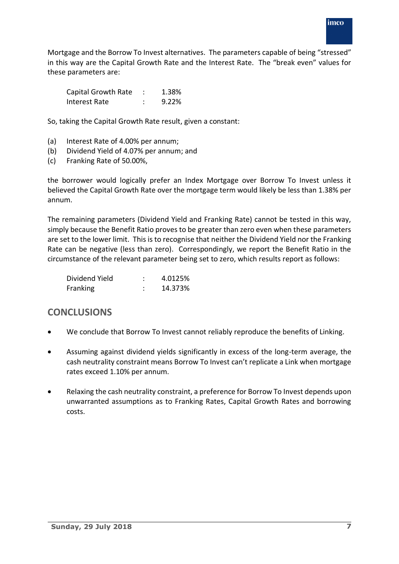Mortgage and the Borrow To Invest alternatives. The parameters capable of being "stressed" in this way are the Capital Growth Rate and the Interest Rate. The "break even" values for these parameters are:

| Capital Growth Rate | 1.38% |
|---------------------|-------|
| Interest Rate       | 9.22% |

So, taking the Capital Growth Rate result, given a constant:

- (a) Interest Rate of 4.00% per annum;
- (b) Dividend Yield of 4.07% per annum; and
- (c) Franking Rate of 50.00%,

the borrower would logically prefer an Index Mortgage over Borrow To Invest unless it believed the Capital Growth Rate over the mortgage term would likely be less than 1.38% per annum.

The remaining parameters (Dividend Yield and Franking Rate) cannot be tested in this way, simply because the Benefit Ratio proves to be greater than zero even when these parameters are set to the lower limit. This is to recognise that neither the Dividend Yield nor the Franking Rate can be negative (less than zero). Correspondingly, we report the Benefit Ratio in the circumstance of the relevant parameter being set to zero, which results report as follows:

| Dividend Yield | 4.0125% |
|----------------|---------|
| Franking       | 14.373% |

## **CONCLUSIONS**

- We conclude that Borrow To Invest cannot reliably reproduce the benefits of Linking.
- Assuming against dividend yields significantly in excess of the long-term average, the cash neutrality constraint means Borrow To Invest can't replicate a Link when mortgage rates exceed 1.10% per annum.
- Relaxing the cash neutrality constraint, a preference for Borrow To Invest depends upon unwarranted assumptions as to Franking Rates, Capital Growth Rates and borrowing costs.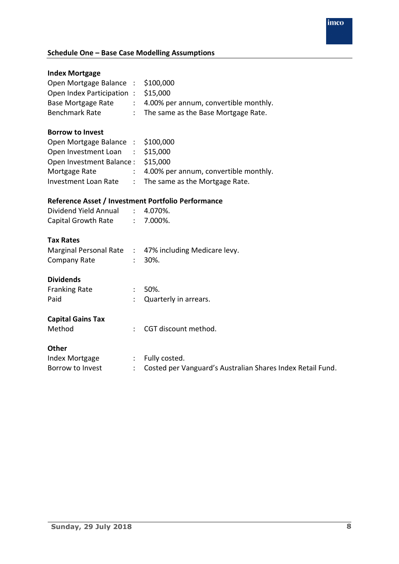## *imco*

## **Schedule One – Base Case Modelling Assumptions**

| <b>Index Mortgage</b>                              |                               |                                                            |
|----------------------------------------------------|-------------------------------|------------------------------------------------------------|
| Open Mortgage Balance : \$100,000                  |                               |                                                            |
| Open Index Participation : \$15,000                |                               |                                                            |
| Base Mortgage Rate                                 | $\mathcal{I}^{\mathcal{I}}$ . | 4.00% per annum, convertible monthly.                      |
| <b>Benchmark Rate</b>                              | $\mathcal{L}$                 | The same as the Base Mortgage Rate.                        |
| <b>Borrow to Invest</b>                            |                               |                                                            |
| Open Mortgage Balance : \$100,000                  |                               |                                                            |
| Open Investment Loan                               |                               | $\frac{1}{2}$ \$15,000                                     |
| Open Investment Balance:                           |                               | \$15,000                                                   |
| Mortgage Rate                                      |                               | : 4.00% per annum, convertible monthly.                    |
|                                                    |                               | Investment Loan Rate : The same as the Mortgage Rate.      |
| Reference Asset / Investment Portfolio Performance |                               |                                                            |
| Dividend Yield Annual                              |                               | 4.070%.                                                    |
| Capital Growth Rate                                | $\mathcal{L}^{\text{max}}$    | 7.000%.                                                    |
| <b>Tax Rates</b>                                   |                               |                                                            |
|                                                    |                               | Marginal Personal Rate : 47% including Medicare levy.      |
| Company Rate                                       |                               | 30%.                                                       |
| <b>Dividends</b>                                   |                               |                                                            |
| <b>Franking Rate</b>                               | ÷                             | 50%.                                                       |
| Paid                                               |                               | Quarterly in arrears.                                      |
|                                                    |                               |                                                            |
| <b>Capital Gains Tax</b>                           |                               |                                                            |
| Method                                             | ÷                             | CGT discount method.                                       |
| <b>Other</b>                                       |                               |                                                            |
| Index Mortgage                                     |                               | : Fully costed.                                            |
| Borrow to Invest                                   | ÷                             | Costed per Vanguard's Australian Shares Index Retail Fund. |
|                                                    |                               |                                                            |